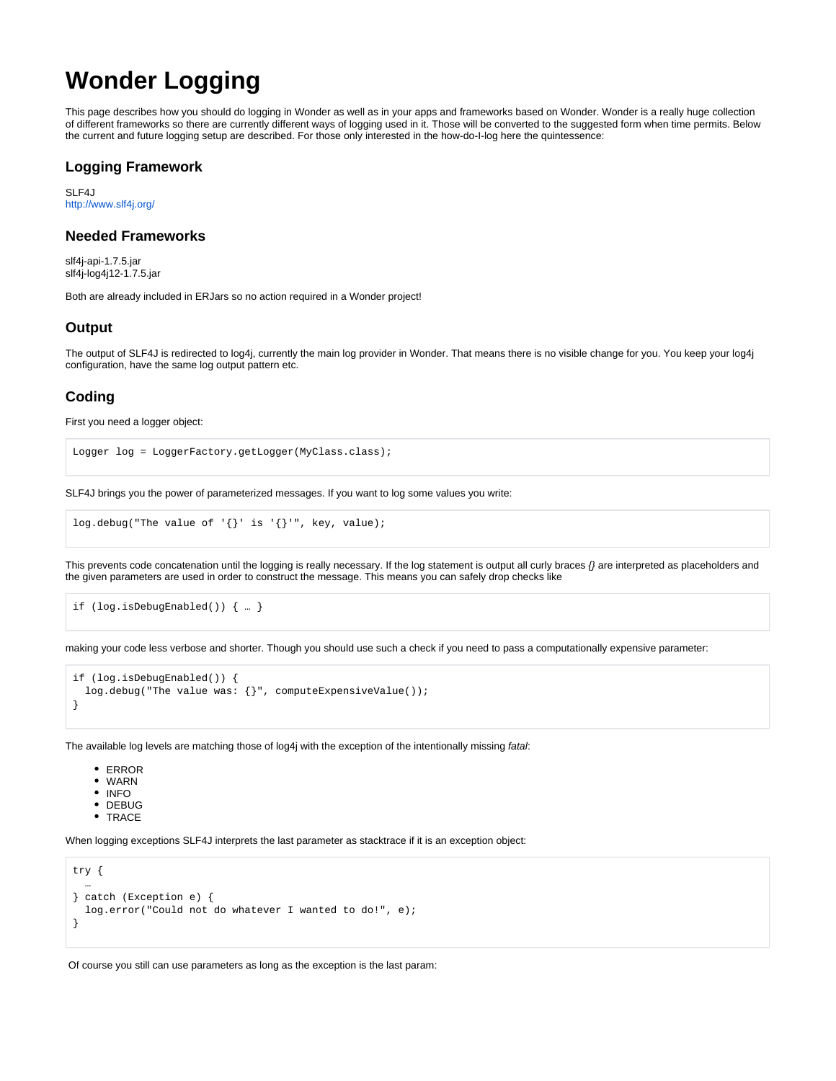# **Wonder Logging**

This page describes how you should do logging in Wonder as well as in your apps and frameworks based on Wonder. Wonder is a really huge collection of different frameworks so there are currently different ways of logging used in it. Those will be converted to the suggested form when time permits. Below the current and future logging setup are described. For those only interested in the how-do-I-log here the quintessence:

#### **Logging Framework**

SLF4J <http://www.slf4j.org/>

## **Needed Frameworks**

slf4j-api-1.7.5.jar slf4j-log4j12-1.7.5.jar

Both are already included in ERJars so no action required in a Wonder project!

## **Output**

The output of SLF4J is redirected to log4j, currently the main log provider in Wonder. That means there is no visible change for you. You keep your log4j configuration, have the same log output pattern etc.

## **Coding**

First you need a logger object:

```
Logger log = LoggerFactory.getLogger(MyClass.class);
```
SLF4J brings you the power of parameterized messages. If you want to log some values you write:

 $log.debug("The value of '\}': is '\}':$ , key, value);

This prevents code concatenation until the logging is really necessary. If the log statement is output all curly braces  $\beta$  are interpreted as placeholders and the given parameters are used in order to construct the message. This means you can safely drop checks like

```
if (log.isDebugEnabled()) { … }
```
making your code less verbose and shorter. Though you should use such a check if you need to pass a computationally expensive parameter:

```
if (log.isDebugEnabled()) {
 log.debug("The value was: {}", computeExpensiveValue());
}
```
The available log levels are matching those of log4j with the exception of the intentionally missing fatal:

- ERROR
- WARN
- INFO
- DEBUG
- TRACE

When logging exceptions SLF4J interprets the last parameter as stacktrace if it is an exception object:

```
try {
 …
} catch (Exception e) {
  log.error("Could not do whatever I wanted to do!", e);
}
```
Of course you still can use parameters as long as the exception is the last param: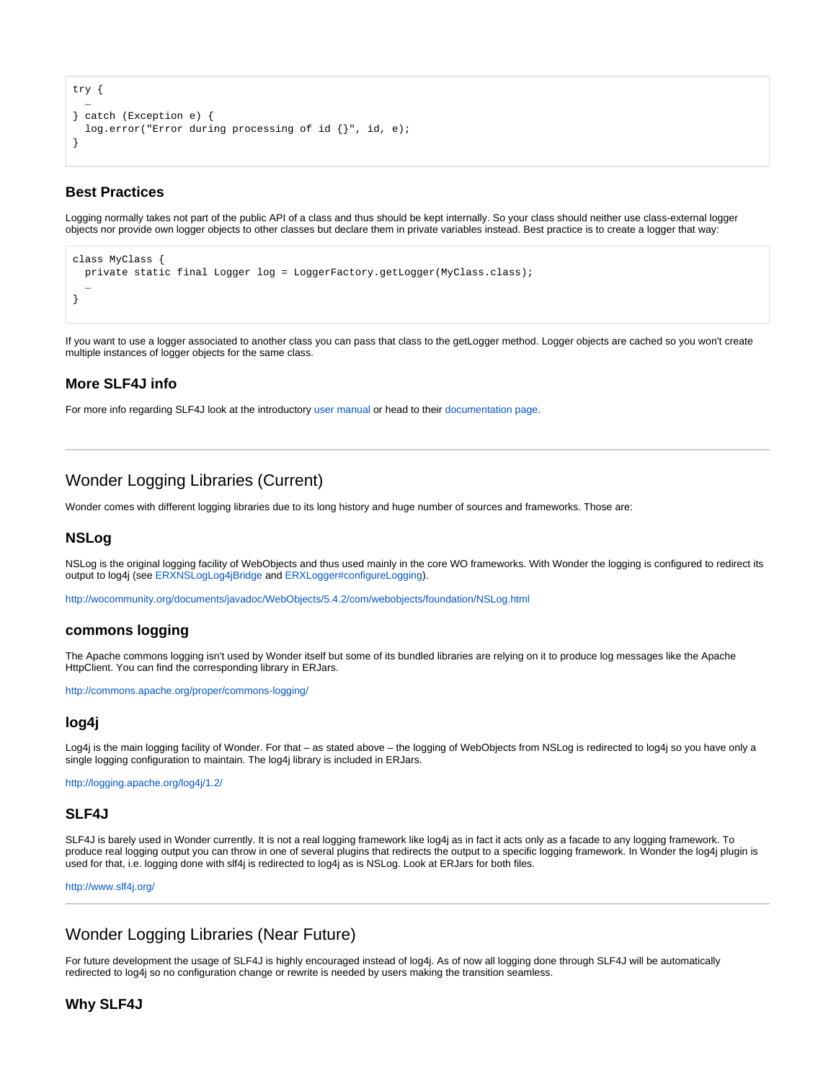```
try {
 …
} catch (Exception e) {
  log.error("Error during processing of id {}", id, e);
}
```
## **Best Practices**

Logging normally takes not part of the public API of a class and thus should be kept internally. So your class should neither use class-external logger objects nor provide own logger objects to other classes but declare them in private variables instead. Best practice is to create a logger that way:

```
class MyClass {
  private static final Logger log = LoggerFactory.getLogger(MyClass.class);
 …
}
```
If you want to use a logger associated to another class you can pass that class to the getLogger method. Logger objects are cached so you won't create multiple instances of logger objects for the same class.

## **More SLF4J info**

For more info regarding SLF4J look at the introductory [user manual](http://www.slf4j.org/manual.html) or head to their [documentation page](http://www.slf4j.org/docs.html).

# Wonder Logging Libraries (Current)

Wonder comes with different logging libraries due to its long history and huge number of sources and frameworks. Those are:

#### **NSLog**

NSLog is the original logging facility of WebObjects and thus used mainly in the core WO frameworks. With Wonder the logging is configured to redirect its output to log4j (see [ERXNSLogLog4jBridge](http://jenkins.wocommunity.org/job/WonderIntegration/lastSuccessfulBuild/javadoc/er/extensions/logging/ERXNSLogLog4jBridge.html) and [ERXLogger#configureLogging](http://jenkins.wocommunity.org/job/WonderIntegration/lastSuccessfulBuild/javadoc/er/extensions/logging/ERXLogger.html#configureLogging(java.util.Properties))).

<http://wocommunity.org/documents/javadoc/WebObjects/5.4.2/com/webobjects/foundation/NSLog.html>

#### **commons logging**

The Apache commons logging isn't used by Wonder itself but some of its bundled libraries are relying on it to produce log messages like the Apache HttpClient. You can find the corresponding library in ERJars.

<http://commons.apache.org/proper/commons-logging/>

#### **log4j**

Log4j is the main logging facility of Wonder. For that – as stated above – the logging of WebObjects from NSLog is redirected to log4j so you have only a single logging configuration to maintain. The log4j library is included in ERJars.

<http://logging.apache.org/log4j/1.2/>

#### **SLF4J**

SLF4J is barely used in Wonder currently. It is not a real logging framework like log4j as in fact it acts only as a facade to any logging framework. To produce real logging output you can throw in one of several plugins that redirects the output to a specific logging framework. In Wonder the log4j plugin is used for that, i.e. logging done with slf4j is redirected to log4j as is NSLog. Look at ERJars for both files.

<http://www.slf4j.org/>

# Wonder Logging Libraries (Near Future)

For future development the usage of SLF4J is highly encouraged instead of log4j. As of now all logging done through SLF4J will be automatically redirected to log4j so no configuration change or rewrite is needed by users making the transition seamless.